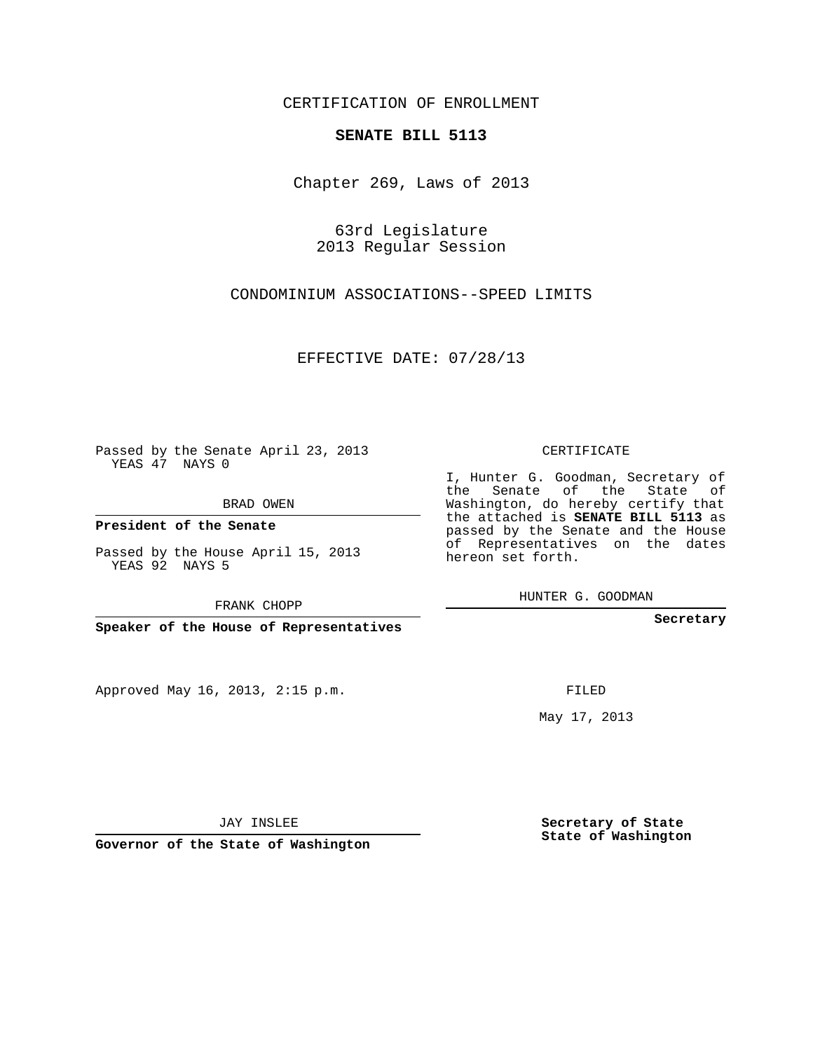## CERTIFICATION OF ENROLLMENT

## **SENATE BILL 5113**

Chapter 269, Laws of 2013

63rd Legislature 2013 Regular Session

CONDOMINIUM ASSOCIATIONS--SPEED LIMITS

EFFECTIVE DATE: 07/28/13

Passed by the Senate April 23, 2013 YEAS 47 NAYS 0

BRAD OWEN

**President of the Senate**

Passed by the House April 15, 2013 YEAS 92 NAYS 5

FRANK CHOPP

**Speaker of the House of Representatives**

Approved May 16, 2013, 2:15 p.m.

CERTIFICATE

I, Hunter G. Goodman, Secretary of the Senate of the State of Washington, do hereby certify that the attached is **SENATE BILL 5113** as passed by the Senate and the House of Representatives on the dates hereon set forth.

HUNTER G. GOODMAN

**Secretary**

FILED

May 17, 2013

JAY INSLEE

**Governor of the State of Washington**

**Secretary of State State of Washington**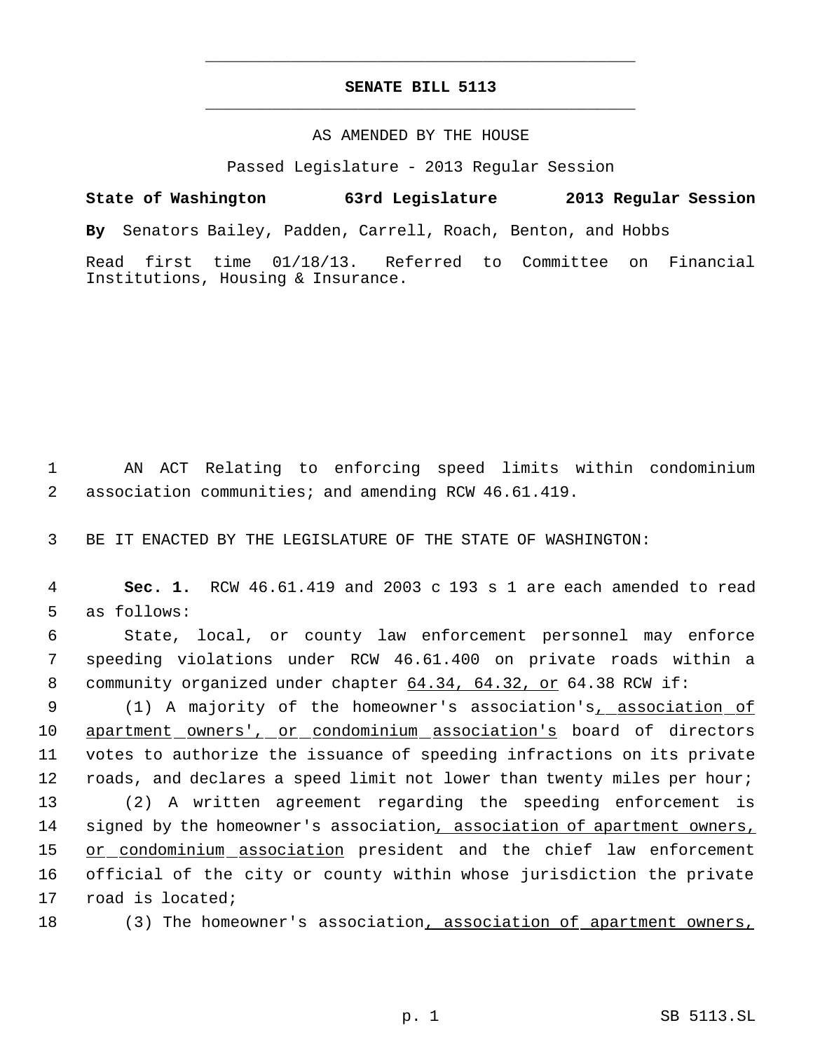## **SENATE BILL 5113** \_\_\_\_\_\_\_\_\_\_\_\_\_\_\_\_\_\_\_\_\_\_\_\_\_\_\_\_\_\_\_\_\_\_\_\_\_\_\_\_\_\_\_\_\_

\_\_\_\_\_\_\_\_\_\_\_\_\_\_\_\_\_\_\_\_\_\_\_\_\_\_\_\_\_\_\_\_\_\_\_\_\_\_\_\_\_\_\_\_\_

## AS AMENDED BY THE HOUSE

Passed Legislature - 2013 Regular Session

**State of Washington 63rd Legislature 2013 Regular Session By** Senators Bailey, Padden, Carrell, Roach, Benton, and Hobbs Read first time 01/18/13. Referred to Committee on Financial Institutions, Housing & Insurance.

 1 AN ACT Relating to enforcing speed limits within condominium 2 association communities; and amending RCW 46.61.419.

3 BE IT ENACTED BY THE LEGISLATURE OF THE STATE OF WASHINGTON:

 4 **Sec. 1.** RCW 46.61.419 and 2003 c 193 s 1 are each amended to read 5 as follows:

 6 State, local, or county law enforcement personnel may enforce 7 speeding violations under RCW 46.61.400 on private roads within a 8 community organized under chapter 64.34, 64.32, or 64.38 RCW if:

9 (1) A majority of the homeowner's association's<sub>1</sub> association of 10 apartment owners', or condominium association's board of directors 11 votes to authorize the issuance of speeding infractions on its private 12 roads, and declares a speed limit not lower than twenty miles per hour;

 (2) A written agreement regarding the speeding enforcement is signed by the homeowner's association, association of apartment owners, 15 or condominium association president and the chief law enforcement official of the city or county within whose jurisdiction the private road is located;

18 (3) The homeowner's association, association of apartment owners,